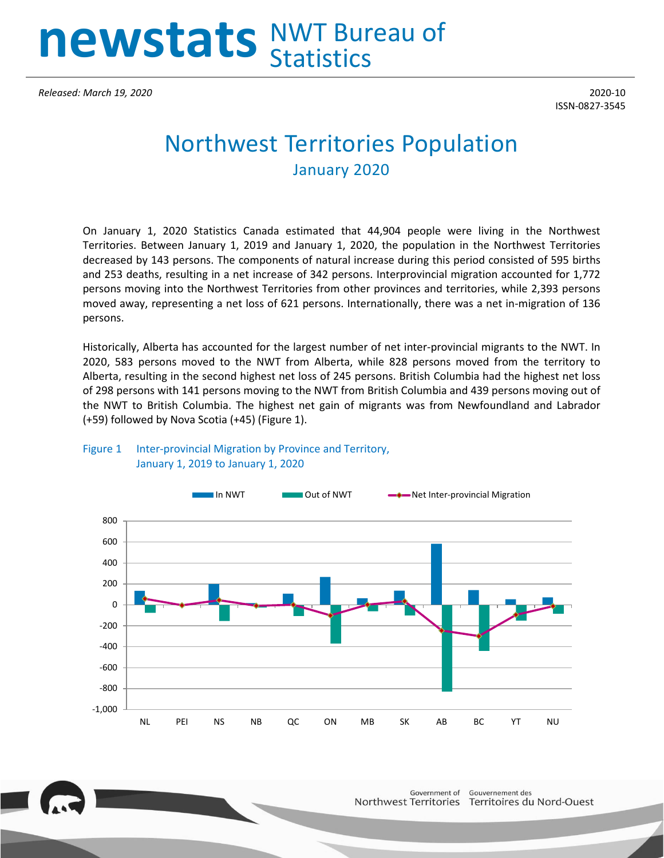# **newstats** NWT Bureau of **Statistics**

*Released: March 19, 2020* 2020-10

ISSN-0827-3545

# Northwest Territories Population January 2020

On January 1, 2020 Statistics Canada estimated that 44,904 people were living in the Northwest Territories. Between January 1, 2019 and January 1, 2020, the population in the Northwest Territories decreased by 143 persons. The components of natural increase during this period consisted of 595 births and 253 deaths, resulting in a net increase of 342 persons. Interprovincial migration accounted for 1,772 persons moving into the Northwest Territories from other provinces and territories, while 2,393 persons moved away, representing a net loss of 621 persons. Internationally, there was a net in-migration of 136 persons.

Historically, Alberta has accounted for the largest number of net inter-provincial migrants to the NWT. In 2020, 583 persons moved to the NWT from Alberta, while 828 persons moved from the territory to Alberta, resulting in the second highest net loss of 245 persons. British Columbia had the highest net loss of 298 persons with 141 persons moving to the NWT from British Columbia and 439 persons moving out of the NWT to British Columbia. The highest net gain of migrants was from Newfoundland and Labrador (+59) followed by Nova Scotia (+45) (Figure 1).



## Figure 1 Inter-provincial Migration by Province and Territory, January 1, 2019 to January 1, 2020

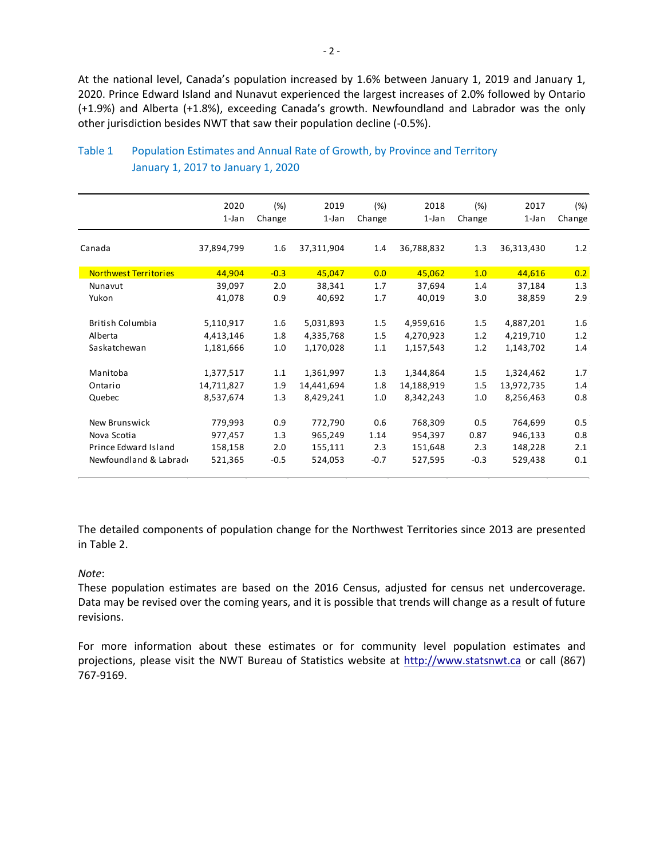At the national level, Canada's population increased by 1.6% between January 1, 2019 and January 1, 2020. Prince Edward Island and Nunavut experienced the largest increases of 2.0% followed by Ontario (+1.9%) and Alberta (+1.8%), exceeding Canada's growth. Newfoundland and Labrador was the only other jurisdiction besides NWT that saw their population decline (-0.5%).

|                              | 2020<br>$1$ -Jan | (%)<br>Change | 2019<br>1-Jan | (%)<br>Change | 2018<br>$1$ -Jan | (%)<br>Change | 2017<br>$1$ -Jan | $(\%)$<br>Change |
|------------------------------|------------------|---------------|---------------|---------------|------------------|---------------|------------------|------------------|
|                              |                  |               |               |               |                  |               |                  |                  |
| Canada                       | 37,894,799       | 1.6           | 37,311,904    | 1.4           | 36,788,832       | 1.3           | 36,313,430       | 1.2              |
| <b>Northwest Territories</b> | 44,904           | $-0.3$        | 45,047        | 0.0           | 45,062           | 1.0           | 44,616           | 0.2              |
| Nunavut                      | 39,097           | 2.0           | 38,341        | 1.7           | 37,694           | 1.4           | 37,184           | 1.3              |
| Yukon                        | 41,078           | 0.9           | 40,692        | 1.7           | 40,019           | 3.0           | 38,859           | 2.9              |
|                              |                  |               |               |               |                  |               |                  |                  |
| British Columbia             | 5,110,917        | 1.6           | 5,031,893     | 1.5           | 4,959,616        | 1.5           | 4,887,201        | 1.6              |
| Alberta                      | 4,413,146        | 1.8           | 4,335,768     | 1.5           | 4,270,923        | 1.2           | 4,219,710        | 1.2              |
| Saskatchewan                 | 1,181,666        | 1.0           | 1,170,028     | 1.1           | 1,157,543        | 1.2           | 1,143,702        | 1.4              |
| Manitoba                     | 1,377,517        | 1.1           | 1,361,997     | 1.3           | 1,344,864        | 1.5           | 1,324,462        | 1.7              |
| Ontario                      | 14,711,827       | 1.9           | 14,441,694    | 1.8           | 14,188,919       | 1.5           | 13,972,735       | 1.4              |
| Quebec                       | 8,537,674        | 1.3           | 8,429,241     | 1.0           | 8,342,243        | 1.0           | 8,256,463        | 0.8              |
| New Brunswick                | 779,993          | 0.9           | 772,790       | 0.6           | 768,309          | 0.5           | 764,699          | 0.5              |
| Nova Scotia                  | 977,457          | 1.3           | 965,249       | 1.14          | 954,397          | 0.87          | 946,133          | 0.8              |
| Prince Edward Island         | 158,158          | 2.0           | 155,111       | 2.3           | 151,648          | 2.3           | 148,228          | 2.1              |
| Newfoundland & Labrad        | 521,365          | $-0.5$        | 524,053       | $-0.7$        | 527,595          | $-0.3$        | 529,438          | 0.1              |

# Table 1 Population Estimates and Annual Rate of Growth, by Province and Territory January 1, 2017 to January 1, 2020

The detailed components of population change for the Northwest Territories since 2013 are presented in Table 2.

#### *Note*:

These population estimates are based on the 2016 Census, adjusted for census net undercoverage. Data may be revised over the coming years, and it is possible that trends will change as a result of future revisions.

For more information about these estimates or for community level population estimates and projections, please visit the NWT Bureau of Statistics website at http://www.statsnwt.ca or call (867) 767-9169.